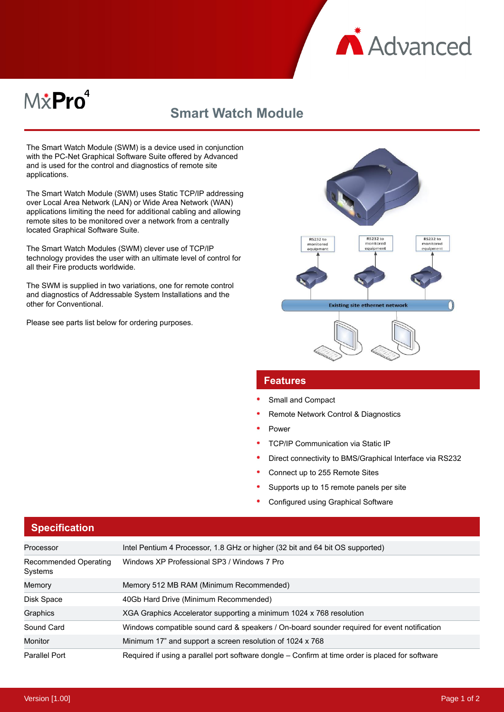

# M&Pro<sup>4</sup>

# **Smart Watch Module**

The Smart Watch Module (SWM) is a device used in conjunction with the PC-Net Graphical Software Suite offered by Advanced and is used for the control and diagnostics of remote site applications.

The Smart Watch Module (SWM) uses Static TCP/IP addressing over Local Area Network (LAN) or Wide Area Network (WAN) applications limiting the need for additional cabling and allowing remote sites to be monitored over a network from a centrally located Graphical Software Suite.

The Smart Watch Modules (SWM) clever use of TCP/IP technology provides the user with an ultimate level of control for all their Fire products worldwide.

The SWM is supplied in two variations, one for remote control and diagnostics of Addressable System Installations and the other for Conventional.

Please see parts list below for ordering purposes.



#### **Features**

- Small and Compact
- Remote Network Control & Diagnostics
- Power
- TCP/IP Communication via Static IP
- Direct connectivity to BMS/Graphical Interface via RS232
- Connect up to 255 Remote Sites
- Supports up to 15 remote panels per site
- Configured using Graphical Software

| Processor                        | Intel Pentium 4 Processor, 1.8 GHz or higher (32 bit and 64 bit OS supported)                    |  |
|----------------------------------|--------------------------------------------------------------------------------------------------|--|
| Recommended Operating<br>Systems | Windows XP Professional SP3 / Windows 7 Pro                                                      |  |
| Memory                           | Memory 512 MB RAM (Minimum Recommended)                                                          |  |
| Disk Space                       | 40Gb Hard Drive (Minimum Recommended)                                                            |  |
| Graphics                         | XGA Graphics Accelerator supporting a minimum 1024 x 768 resolution                              |  |
| Sound Card                       | Windows compatible sound card & speakers / On-board sounder required for event notification      |  |
| Monitor                          | Minimum 17" and support a screen resolution of 1024 x 768                                        |  |
| Parallel Port                    | Required if using a parallel port software dongle – Confirm at time order is placed for software |  |

### **Specification**